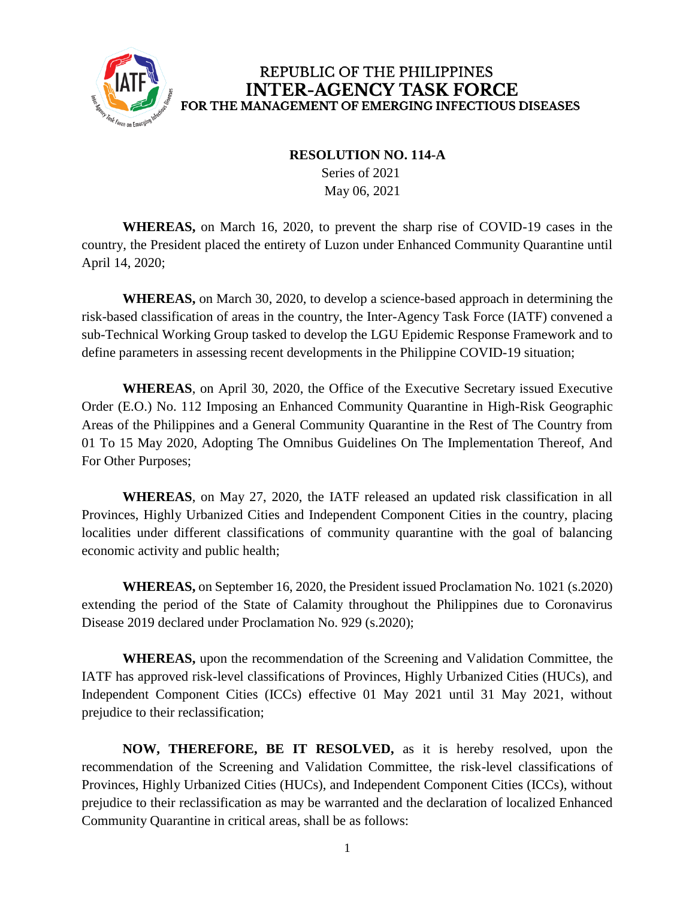

## REPUBLIC OF THE PHILIPPINES **INTER-AGENCY TASK FORCE** FOR THE MANAGEMENT OF EMERGING INFECTIOUS DISEASES

## **RESOLUTION NO. 114-A**

 Series of 2021 May 06, 2021

**WHEREAS,** on March 16, 2020, to prevent the sharp rise of COVID-19 cases in the country, the President placed the entirety of Luzon under Enhanced Community Quarantine until April 14, 2020;

**WHEREAS,** on March 30, 2020, to develop a science-based approach in determining the risk-based classification of areas in the country, the Inter-Agency Task Force (IATF) convened a sub-Technical Working Group tasked to develop the LGU Epidemic Response Framework and to define parameters in assessing recent developments in the Philippine COVID-19 situation;

**WHEREAS**, on April 30, 2020, the Office of the Executive Secretary issued Executive Order (E.O.) No. 112 Imposing an Enhanced Community Quarantine in High-Risk Geographic Areas of the Philippines and a General Community Quarantine in the Rest of The Country from 01 To 15 May 2020, Adopting The Omnibus Guidelines On The Implementation Thereof, And For Other Purposes;

**WHEREAS**, on May 27, 2020, the IATF released an updated risk classification in all Provinces, Highly Urbanized Cities and Independent Component Cities in the country, placing localities under different classifications of community quarantine with the goal of balancing economic activity and public health;

**WHEREAS,** on September 16, 2020, the President issued Proclamation No. 1021 (s.2020) extending the period of the State of Calamity throughout the Philippines due to Coronavirus Disease 2019 declared under Proclamation No. 929 (s.2020);

**WHEREAS,** upon the recommendation of the Screening and Validation Committee, the IATF has approved risk-level classifications of Provinces, Highly Urbanized Cities (HUCs), and Independent Component Cities (ICCs) effective 01 May 2021 until 31 May 2021, without prejudice to their reclassification;

**NOW, THEREFORE, BE IT RESOLVED,** as it is hereby resolved, upon the recommendation of the Screening and Validation Committee, the risk-level classifications of Provinces, Highly Urbanized Cities (HUCs), and Independent Component Cities (ICCs), without prejudice to their reclassification as may be warranted and the declaration of localized Enhanced Community Quarantine in critical areas, shall be as follows: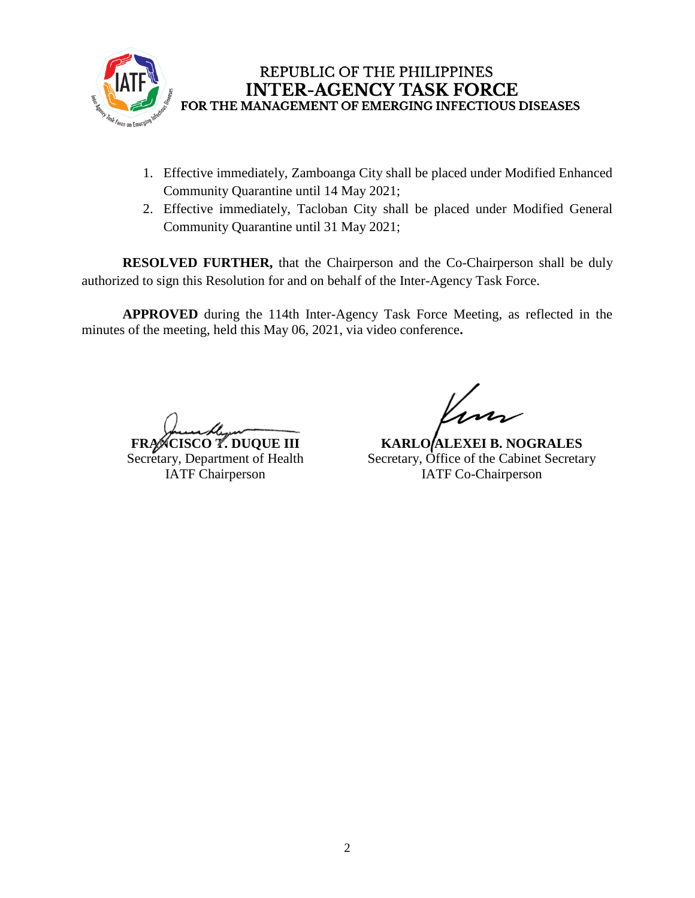

## REPUBLIC OF THE PHILIPPINES **INTER-AGENCY TASK FORCE** FOR THE MANAGEMENT OF EMERGING INFECTIOUS DISEASES

- 1. Effective immediately, Zamboanga City shall be placed under Modified Enhanced Community Quarantine until 14 May 2021;
- 2. Effective immediately, Tacloban City shall be placed under Modified General Community Quarantine until 31 May 2021;

**RESOLVED FURTHER,** that the Chairperson and the Co-Chairperson shall be duly authorized to sign this Resolution for and on behalf of the Inter-Agency Task Force.

**APPROVED** during the 114th Inter-Agency Task Force Meeting, as reflected in the minutes of the meeting, held this May 06, 2021, via video conference**.**

**FRANCISCO T. DUQUE III** Secretary, Department of Health IATF Chairperson

**KARLO ALEXEI B. NOGRALES** Secretary, Office of the Cabinet Secretary IATF Co-Chairperson